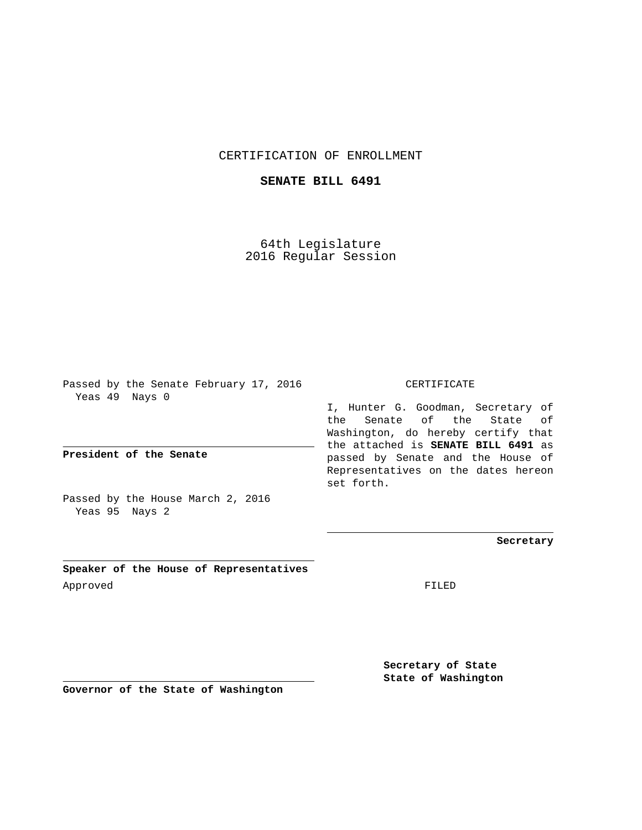## CERTIFICATION OF ENROLLMENT

## **SENATE BILL 6491**

64th Legislature 2016 Regular Session

Passed by the Senate February 17, 2016 Yeas 49 Nays 0

**President of the Senate**

Passed by the House March 2, 2016 Yeas 95 Nays 2

**Speaker of the House of Representatives** Approved FILED

CERTIFICATE

I, Hunter G. Goodman, Secretary of the Senate of the State of Washington, do hereby certify that the attached is **SENATE BILL 6491** as passed by Senate and the House of Representatives on the dates hereon set forth.

**Secretary**

**Secretary of State State of Washington**

**Governor of the State of Washington**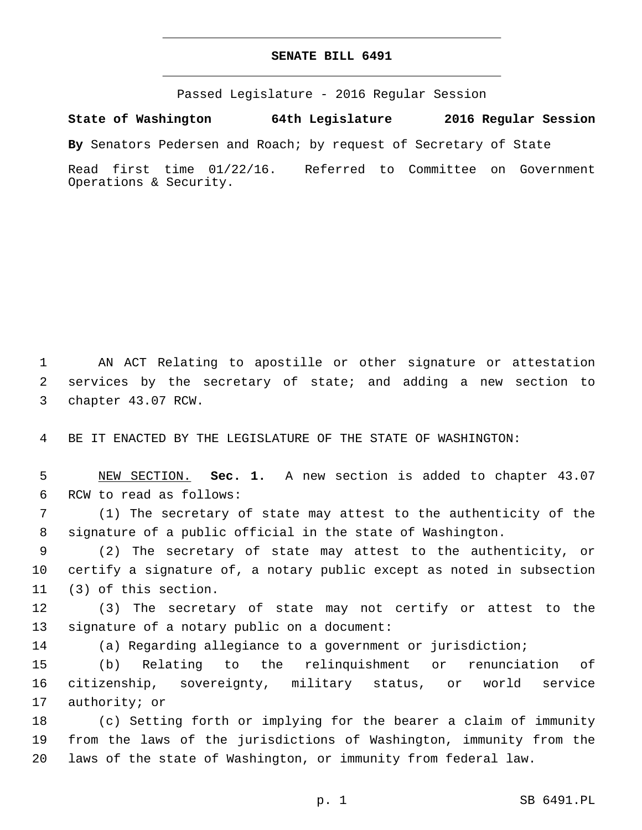## **SENATE BILL 6491**

Passed Legislature - 2016 Regular Session

**State of Washington 64th Legislature 2016 Regular Session**

**By** Senators Pedersen and Roach; by request of Secretary of State

Read first time 01/22/16. Referred to Committee on Government Operations & Security.

1 AN ACT Relating to apostille or other signature or attestation 2 services by the secretary of state; and adding a new section to 3 chapter 43.07 RCW.

4 BE IT ENACTED BY THE LEGISLATURE OF THE STATE OF WASHINGTON:

5 NEW SECTION. **Sec. 1.** A new section is added to chapter 43.07 6 RCW to read as follows:

7 (1) The secretary of state may attest to the authenticity of the 8 signature of a public official in the state of Washington.

9 (2) The secretary of state may attest to the authenticity, or 10 certify a signature of, a notary public except as noted in subsection 11 (3) of this section.

12 (3) The secretary of state may not certify or attest to the 13 signature of a notary public on a document:

14 (a) Regarding allegiance to a government or jurisdiction;

15 (b) Relating to the relinquishment or renunciation of 16 citizenship, sovereignty, military status, or world service 17 authority; or

18 (c) Setting forth or implying for the bearer a claim of immunity 19 from the laws of the jurisdictions of Washington, immunity from the 20 laws of the state of Washington, or immunity from federal law.